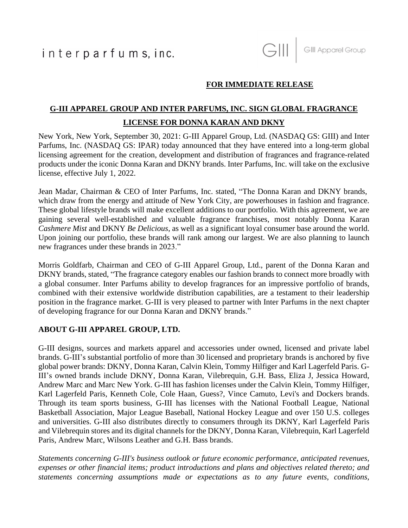## **FOR IMMEDIATE RELEASE**

# **G-III APPAREL GROUP AND INTER PARFUMS, INC. SIGN GLOBAL FRAGRANCE LICENSE FOR DONNA KARAN AND DKNY**

New York, New York, September 30, 2021: G-III Apparel Group, Ltd. (NASDAQ GS: GIII) and Inter Parfums, Inc. (NASDAQ GS: IPAR) today announced that they have entered into a long-term global licensing agreement for the creation, development and distribution of fragrances and fragrance-related products under the iconic Donna Karan and DKNY brands. Inter Parfums, Inc. will take on the exclusive license, effective July 1, 2022.

Jean Madar, Chairman & CEO of Inter Parfums, Inc. stated, "The Donna Karan and DKNY brands, which draw from the energy and attitude of New York City, are powerhouses in fashion and fragrance. These global lifestyle brands will make excellent additions to our portfolio. With this agreement, we are gaining several well-established and valuable fragrance franchises, most notably Donna Karan *Cashmere Mist* and DKNY *Be Delicious*, as well as a significant loyal consumer base around the world. Upon joining our portfolio, these brands will rank among our largest. We are also planning to launch new fragrances under these brands in 2023."

Morris Goldfarb, Chairman and CEO of G-III Apparel Group, Ltd., parent of the Donna Karan and DKNY brands, stated, "The fragrance category enables our fashion brands to connect more broadly with a global consumer. Inter Parfums ability to develop fragrances for an impressive portfolio of brands, combined with their extensive worldwide distribution capabilities, are a testament to their leadership position in the fragrance market. G-III is very pleased to partner with Inter Parfums in the next chapter of developing fragrance for our Donna Karan and DKNY brands."

### **ABOUT G-III APPAREL GROUP, LTD.**

G-III designs, sources and markets apparel and accessories under owned, licensed and private label brands. G-III's substantial portfolio of more than 30 licensed and proprietary brands is anchored by five global power brands: DKNY, Donna Karan, Calvin Klein, Tommy Hilfiger and Karl Lagerfeld Paris. G-III's owned brands include DKNY, Donna Karan, Vilebrequin, G.H. Bass, Eliza J, Jessica Howard, Andrew Marc and Marc New York. G-III has fashion licenses under the Calvin Klein, Tommy Hilfiger, Karl Lagerfeld Paris, Kenneth Cole, Cole Haan, Guess?, Vince Camuto, Levi's and Dockers brands. Through its team sports business, G-III has licenses with the National Football League, National Basketball Association, Major League Baseball, National Hockey League and over 150 U.S. colleges and universities. G-III also distributes directly to consumers through its DKNY, Karl Lagerfeld Paris and Vilebrequin stores and its digital channels for the DKNY, Donna Karan, Vilebrequin, Karl Lagerfeld Paris, Andrew Marc, Wilsons Leather and G.H. Bass brands.

*Statements concerning G-III's business outlook or future economic performance, anticipated revenues, expenses or other financial items; product introductions and plans and objectives related thereto; and statements concerning assumptions made or expectations as to any future events, conditions,*